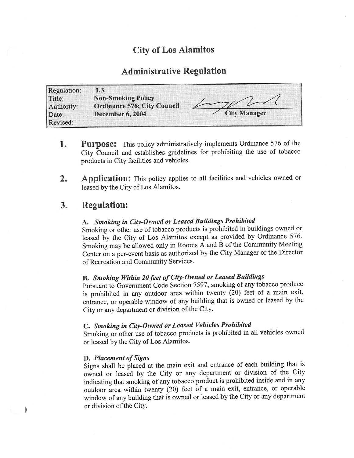# City of Los Alamitos

## Administrative Regulation

| Regulation: | 1.3                                |                     |
|-------------|------------------------------------|---------------------|
| Title:      | <b>Non-Smoking Policy</b>          |                     |
| Authority:  | <b>Ordinance 576; City Council</b> |                     |
| Date:       | <b>December 6, 2004</b>            | <b>City Manager</b> |
| Revised:    |                                    |                     |

- Purpose: This policy administratively implements Ordinance 576 of the 1. City Council and establishes guidelines for prohibiting the use of tobacco products in City facilities and vehicles.
- 2. Application: This policy applies to all facilities and vehicles owned or leased by the City of Los Alamitos.

## 3. Regulation:

# A. Smoking in City-Owned or Leased Buildings Prohibited

Smoking or other use of tobacco products is prohibited in buildings owned or leased by the City of Los Alamitos except as provided by Ordinance 576. Smoking may be allowed only in Rooms A and B of the Community Meeting Center on a per-event basis as authorized by the City Manager or the Director of Recreation and Community Services.

# B. Smoking Within 20feet of City-Owned or Leased Buildings

Pursuant to Government Code Section 7597, smoking of any tobacco produce is prohibited in any outdoor area within twenty  $(20)$  feet of a main exit, entrance, or operable window of any building that is owned or leased by the City or any department or division of the City.

### C. Smoking in City-Owned or Leased Vehicles Prohibited

Smoking or other use of tobacco products is prohibited in all vehicles owned or leased by the City of Los Alamitos.

#### D. Placement of Signs

 $\mathbf{I}$ 

Signs shall be placed at the main exit and entrance of each building that is owned or leased by the City or any department or division of the City indicating that smoking of any tobacco product is prohibited inside and in any outdoor area within twenty (20) feet of a main exit, entrance, or operable window of any building that is owned or leased by the City or any department or division of the City.